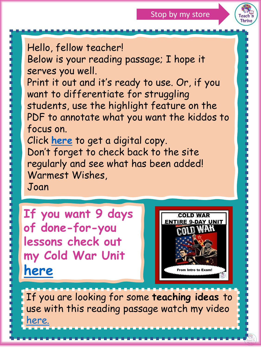

Hello, fellow teacher!

Below is your reading passage; I hope it serves you well.

Print it out and it's ready to use. Or, if you want to differentiate for struggling students, use the highlight feature on the PDF to annotate what you want the kiddos to focus on.

Click **[here](https://docs.google.com/presentation/d/1n7lrTEle6EfCFt4LEyeTim0im3ms0wDtcQJi6R9ydb4/edit?usp=sharing)** to get a digital copy. Don't forget to check back to the site regularly and see what has been added! Warmest Wishes,

Joan

**If you want 9 days of done-for-you lessons check out my Cold War Unit [here](https://www.teacherspayteachers.com/Product/COLD-WAR-UNIT-9-DAY-BUNDLE-Intro-to-Exam-Differentiated-Distance-Learning-5500992?utm_source=TnT%20summaries&utm_campaign=TnT%20reading%20passages)**



If you are looking for some **teaching ideas** to use with this reading passage watch my video [here.](https://www.youtube.com/watch?v=L_Oz4coLok0&t=110s)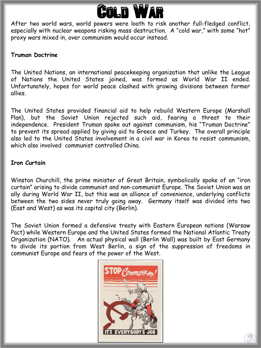

After two world wars, world powers were loath to risk another full-fledged conflict, especially with nuclear weapons risking mass destruction. A "cold war," with some "hot" proxy wars mixed in, over communism would occur instead.

## **Truman Doctrine**

The United Nations, an international peacekeeping organization that unlike the League of Nations the United States joined, was formed as World War II ended. Unfortunately, hopes for world peace clashed with growing divisions between former allies.

The United States provided financial aid to help rebuild Western Europe (Marshall Plan), but the Soviet Union rejected such aid, fearing a threat to their independence. President Truman spoke out against communism, his "Truman Doctrine" to prevent its spread applied by giving aid to Greece and Turkey. The overall principle also led to the United States involvement in a civil war in Korea to resist communism, which also involved communist controlled China.

### **Iron Curtain**

Winston Churchill, the prime minister of Great Britain, symbolically spoke of an "iron curtain" arising to divide communist and non-communist Europe. The Soviet Union was an ally during World War II, but this was an alliance of convenience, underlying conflicts between the two sides never truly going away. Germany itself was divided into two (East and West) as was its capital city (Berlin).

The Soviet Union formed a defensive treaty with Eastern European nations (Warsaw Pact) while Western Europe and the United States formed the National Atlantic Treaty Organization (NATO). An actual physical wall (Berlin Wall) was built by East Germany to divide its portion from West Berlin, a sign of the suppression of freedoms in communist Europe and fears of the power of the West.



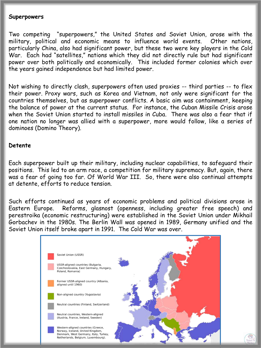#### **Superpowers**

Two competing "superpowers," the United States and Soviet Union, arose with the military, political and economic means to influence world events. Other nations, particularly China, also had significant power, but these two were key players in the Cold War. Each had "satellites," nations which they did not directly rule but had significant power over both politically and economically. This included former colonies which over the years gained independence but had limited power.

Not wishing to directly clash, superpowers often used proxies -- third parties -- to flex their power. Proxy wars, such as Korea and Vietnam, not only were significant for the countries themselves, but as superpower conflicts. A basic aim was containment, keeping the balance of power at the current status. For instance, the Cuban Missile Crisis arose when the Soviet Union started to install missiles in Cuba. There was also a fear that if one nation no longer was allied with a superpower, more would follow, like a series of dominoes (Domino Theory).

#### **Detente**

Each superpower built up their military, including nuclear capabilities, to safeguard their positions. This led to an arm race, a competition for military supremacy. But, again, there was a fear of going too far. Of World War III. So, there were also continual attempts at detente, efforts to reduce tension.

Such efforts continued as years of economic problems and political divisions arose in Eastern Europe. Reforms, glasnost (openness, including greater free speech) and perestroika (economic restructuring) were established in the Soviet Union under Mikhail Gorbachev in the 1980s. The Berlin Wall was opened in 1989, Germany unified and the Soviet Union itself broke apart in 1991. The Cold War was over.

| Soviet Union (USSR)                                                                                                                                   |  |
|-------------------------------------------------------------------------------------------------------------------------------------------------------|--|
| USSR-aligned countries (Bulgaria,<br>Czechoslovakia, East Germany, Hungary,<br>Poland, Romania)                                                       |  |
| Former USSR-aligned country (Albania,<br>aligned until 1960)                                                                                          |  |
| Non-aligned country (Yugoslavia)                                                                                                                      |  |
| Neutral countries (Finland, Switzerland)                                                                                                              |  |
| Neutral countries, Western-aligned<br>(Austria, France, Ireland, Sweden)                                                                              |  |
| Western-aligned countries (Greece,<br>Norway, Iceland, United Kingdom,<br>Denmark, West Germany, Italy, Turkey,<br>Netherlands, Belgium, Luxembourg). |  |